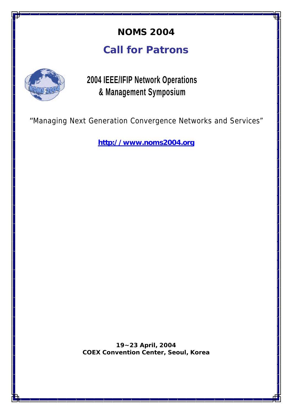## **NOMS 2004**

# **Call for Patrons**



**2004 IEEE/IFIP Network Operations & Management Symposium**

*"Managing Next Generation Convergence Networks and Services"*

**http://www.noms2004.org**

**19~23 April, 2004 COEX Convention Center, Seoul, Korea**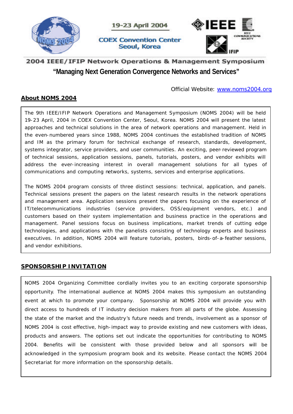

### 2004 IEEE/IFIP Network Operations & Management Symposium **"Managing Next Generation Convergence Networks and Services"**

#### Official Website: www.noms2004.org

### **About NOMS 2004**

The 9th IEEE/IFIP Network Operations and Management Symposium (NOMS 2004) will be held 19-23 April, 2004 in COEX Convention Center, Seoul, Korea. NOMS 2004 will present the latest approaches and technical solutions in the area of network operations and management. Held in the even-numbered years since 1988, NOMS 2004 continues the established tradition of NOMS and IM as the primary forum for technical exchange of research, standards, development, systems integrator, service providers, and user communities. An exciting, peer-reviewed program of technical sessions, application sessions, panels, tutorials, posters, and vendor exhibits will address the ever-increasing interest in overall management solutions for all types of communications and computing networks, systems, services and enterprise applications.

The NOMS 2004 program consists of three distinct sessions: technical, application, and panels. Technical sessions present the papers on the latest research results in the network operations and management area. Application sessions present the papers focusing on the experience of IT/telecommunications industries (service providers, OSS/equipment vendors, etc.) and customers based on their system implementation and business practice in the operations and management. Panel sessions focus on business implications, market trends of cutting edge technologies, and applications with the panelists consisting of technology experts and business executives. In addition, NOMS 2004 will feature tutorials, posters, birds-of-a-feather sessions, and vendor exhibitions.

### **SPONSORSHIP INVITATION**

NOMS 2004 Organizing Committee cordially invites you to an exciting corporate sponsorship opportunity. The international audience at NOMS 2004 makes this symposium an outstanding event at which to promote your company. Sponsorship at NOMS 2004 will provide you with direct access to hundreds of IT industry decision makers from all parts of the globe. Assessing the state of the market and the industry's future needs and trends, involvement as a sponsor of NOMS 2004 is cost effective, high-impact way to provide existing and new customers with ideas, products and answers. The options set out indicate the opportunities for contributing to NOMS 2004. Benefits will be consistent with those provided below and all sponsors will be acknowledged in the symposium program book and its website. Please contact the NOMS 2004 Secretariat for more information on the sponsorship details.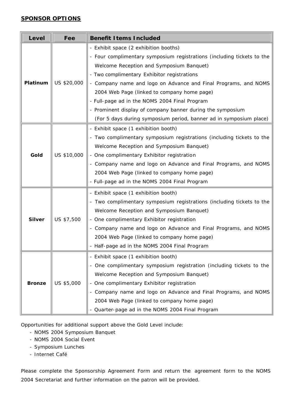### **SPONSOR OPTIONS**

| <b>Level</b>  | Fee         | <b>Benefit I tems Included</b>                                         |
|---------------|-------------|------------------------------------------------------------------------|
| Platinum      | US \$20,000 | - Exhibit space (2 exhibition booths)                                  |
|               |             | - Four complimentary symposium registrations (including tickets to the |
|               |             | Welcome Reception and Symposium Banquet)                               |
|               |             | - Two complimentary Exhibitor registrations                            |
|               |             | - Company name and logo on Advance and Final Programs, and NOMS        |
|               |             | 2004 Web Page (linked to company home page)                            |
|               |             | - Full-page ad in the NOMS 2004 Final Program                          |
|               |             | - Prominent display of company banner during the symposium             |
|               |             | (For 5 days during symposium period, banner ad in symposium place)     |
| Gold          | US \$10,000 | - Exhibit space (1 exhibition booth)                                   |
|               |             | - Two complimentary symposium registrations (including tickets to the  |
|               |             | Welcome Reception and Symposium Banquet)                               |
|               |             | - One complimentary Exhibitor registration                             |
|               |             | - Company name and logo on Advance and Final Programs, and NOMS        |
|               |             | 2004 Web Page (linked to company home page)                            |
|               |             | - Full-page ad in the NOMS 2004 Final Program                          |
| <b>Silver</b> | US \$7,500  | - Exhibit space (1 exhibition booth)                                   |
|               |             | - Two complimentary symposium registrations (including tickets to the  |
|               |             | Welcome Reception and Symposium Banquet)                               |
|               |             | - One complimentary Exhibitor registration                             |
|               |             | - Company name and logo on Advance and Final Programs, and NOMS        |
|               |             | 2004 Web Page (linked to company home page)                            |
|               |             | - Half-page ad in the NOMS 2004 Final Program                          |
| <b>Bronze</b> | US \$5,000  | - Exhibit space (1 exhibition booth)                                   |
|               |             | - One complimentary symposium registration (including tickets to the   |
|               |             | Welcome Reception and Symposium Banquet)                               |
|               |             | - One complimentary Exhibitor registration                             |
|               |             | - Company name and logo on Advance and Final Programs, and NOMS        |
|               |             | 2004 Web Page (linked to company home page)                            |
|               |             | - Quarter-page ad in the NOMS 2004 Final Program                       |

Opportunities for additional support above the Gold Level include:

- NOMS 2004 Symposium Banquet
- NOMS 2004 Social Event
- Symposium Lunches
- Internet Café

Please complete the Sponsorship Agreement Form and return the agreement form to the NOMS 2004 Secretariat and further information on the patron will be provided.